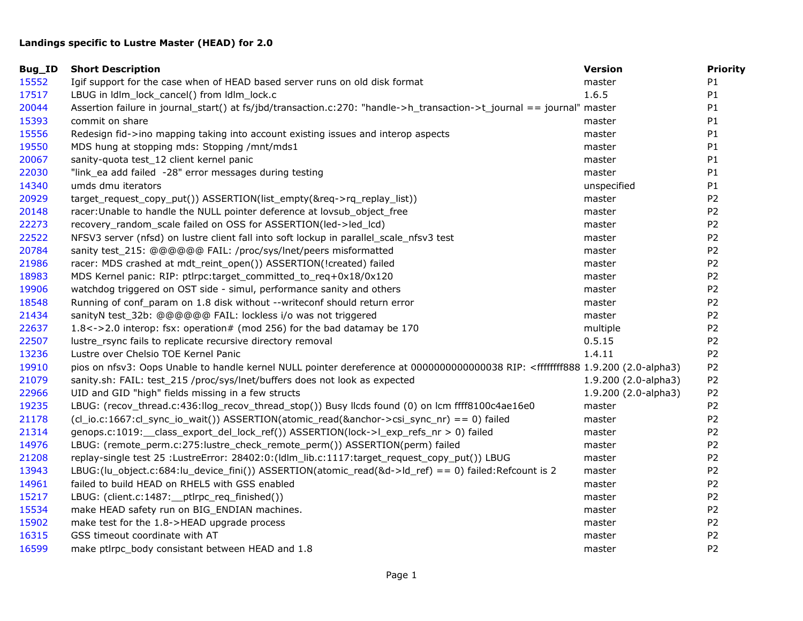## **Landings specific to Lustre Master (HEAD) for 2.0**

| Bug_ID | <b>Short Description</b>                                                                                                                                                                   | <b>Version</b>       | <b>Priority</b> |
|--------|--------------------------------------------------------------------------------------------------------------------------------------------------------------------------------------------|----------------------|-----------------|
| 15552  | Igif support for the case when of HEAD based server runs on old disk format                                                                                                                | master               | P1              |
| 17517  | LBUG in Idlm_lock_cancel() from Idlm_lock.c                                                                                                                                                | 1.6.5                | P1              |
| 20044  | Assertion failure in journal_start() at fs/jbd/transaction.c:270: "handle->h_transaction->t_journal == journal" master                                                                     |                      | P <sub>1</sub>  |
| 15393  | commit on share                                                                                                                                                                            | master               | P1              |
| 15556  | Redesign fid->ino mapping taking into account existing issues and interop aspects                                                                                                          | master               | P <sub>1</sub>  |
| 19550  | MDS hung at stopping mds: Stopping /mnt/mds1                                                                                                                                               | master               | P1              |
| 20067  | sanity-quota test_12 client kernel panic                                                                                                                                                   | master               | P <sub>1</sub>  |
| 22030  | "link_ea add failed -28" error messages during testing                                                                                                                                     | master               | P1              |
| 14340  | umds dmu iterators                                                                                                                                                                         | unspecified          | P <sub>1</sub>  |
| 20929  | target_request_copy_put())        ASSERTION(list_empty(&req->rq_replay_list))                                                                                                              | master               | P <sub>2</sub>  |
| 20148  | racer: Unable to handle the NULL pointer deference at lovsub_object_free                                                                                                                   | master               | P <sub>2</sub>  |
| 22273  | recovery_random_scale failed on OSS for ASSERTION(led->led_lcd)                                                                                                                            | master               | P <sub>2</sub>  |
| 22522  | NFSV3 server (nfsd) on lustre client fall into soft lockup in parallel_scale_nfsv3 test                                                                                                    | master               | P <sub>2</sub>  |
| 20784  | sanity test_215: @@@@@@ FAIL: /proc/sys/lnet/peers misformatted                                                                                                                            | master               | P <sub>2</sub>  |
| 21986  | racer: MDS crashed at mdt_reint_open()) ASSERTION(!created) failed                                                                                                                         | master               | P <sub>2</sub>  |
| 18983  | MDS Kernel panic: RIP: ptlrpc:target_committed_to_req+0x18/0x120                                                                                                                           | master               | P <sub>2</sub>  |
| 19906  | watchdog triggered on OST side - simul, performance sanity and others                                                                                                                      | master               | P <sub>2</sub>  |
| 18548  | Running of conf_param on 1.8 disk without --writeconf should return error                                                                                                                  | master               | P <sub>2</sub>  |
| 21434  | sanityN test_32b: @@@@@@ FAIL: lockless i/o was not triggered                                                                                                                              | master               | P <sub>2</sub>  |
| 22637  | $1.8 < -2.0$ interop: fsx: operation# (mod 256) for the bad datamay be 170                                                                                                                 | multiple             | P <sub>2</sub>  |
| 22507  | lustre_rsync fails to replicate recursive directory removal                                                                                                                                | 0.5.15               | P <sub>2</sub>  |
| 13236  | Lustre over Chelsio TOE Kernel Panic                                                                                                                                                       | 1.4.11               | P <sub>2</sub>  |
| 19910  | pios on nfsv3: Oops Unable to handle kernel NULL pointer dereference at 0000000000000038 RIP: <ffffffff888 (2.0-alpha3)<="" 1.9.200="" td=""><td></td><td>P<sub>2</sub></td></ffffffff888> |                      | P <sub>2</sub>  |
| 21079  | sanity.sh: FAIL: test_215 /proc/sys/lnet/buffers does not look as expected                                                                                                                 | 1.9.200 (2.0-alpha3) | P <sub>2</sub>  |
| 22966  | UID and GID "high" fields missing in a few structs                                                                                                                                         | 1.9.200 (2.0-alpha3) | P <sub>2</sub>  |
| 19235  | LBUG: (recov_thread.c:436:llog_recov_thread_stop()) Busy llcds found (0) on lcm ffff8100c4ae16e0                                                                                           | master               | P <sub>2</sub>  |
| 21178  | (cl_io.c:1667:cl_sync_io_wait()) ASSERTION(atomic_read(&anchor->csi_sync_nr) == 0) failed                                                                                                  | master               | P <sub>2</sub>  |
| 21314  | genops.c:1019:__class_export_del_lock_ref()) ASSERTION(lock->l_exp_refs_nr > 0) failed                                                                                                     | master               | P <sub>2</sub>  |
| 14976  | LBUG: (remote_perm.c:275:lustre_check_remote_perm()) ASSERTION(perm) failed                                                                                                                | master               | P <sub>2</sub>  |
| 21208  | replay-single test 25 :LustreError: 28402:0:(Idlm_lib.c:1117:target_request_copy_put()) LBUG                                                                                               | master               | P <sub>2</sub>  |
| 13943  | LBUG:(lu_object.c:684:lu_device_fini()) ASSERTION(atomic_read(&d->ld_ref) == 0) failed:Refcount is 2                                                                                       | master               | P <sub>2</sub>  |
| 14961  | failed to build HEAD on RHEL5 with GSS enabled                                                                                                                                             | master               | P <sub>2</sub>  |
| 15217  | LBUG: (client.c:1487:__ptlrpc_req_finished())                                                                                                                                              | master               | P <sub>2</sub>  |
| 15534  | make HEAD safety run on BIG_ENDIAN machines.                                                                                                                                               | master               | P <sub>2</sub>  |
| 15902  | make test for the 1.8->HEAD upgrade process                                                                                                                                                | master               | P <sub>2</sub>  |
| 16315  | GSS timeout coordinate with AT                                                                                                                                                             | master               | P <sub>2</sub>  |
| 16599  | make ptirpc body consistant between HEAD and 1.8                                                                                                                                           | master               | P <sub>2</sub>  |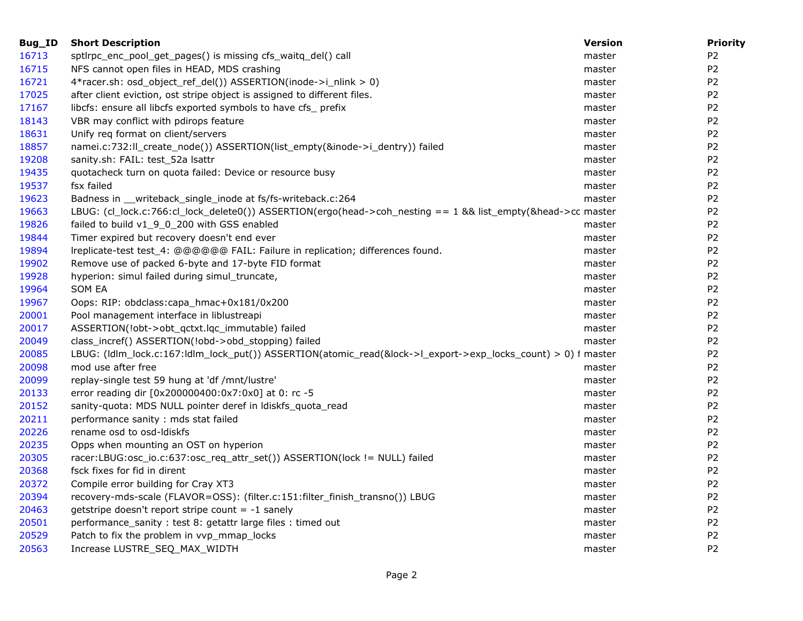| Bug_ID | <b>Short Description</b>                                                                                      | <b>Version</b> | <b>Priority</b> |
|--------|---------------------------------------------------------------------------------------------------------------|----------------|-----------------|
| 16713  | sptlrpc_enc_pool_get_pages() is missing cfs_waitq_del() call                                                  | master         | P <sub>2</sub>  |
| 16715  | NFS cannot open files in HEAD, MDS crashing                                                                   | master         | P <sub>2</sub>  |
| 16721  | 4*racer.sh: osd_object_ref_del())                                ASSERTION(inode->i_nlink > 0)                | master         | P <sub>2</sub>  |
| 17025  | after client eviction, ost stripe object is assigned to different files.                                      | master         | P <sub>2</sub>  |
| 17167  | libcfs: ensure all libcfs exported symbols to have cfs_prefix                                                 | master         | P <sub>2</sub>  |
| 18143  | VBR may conflict with pdirops feature                                                                         | master         | P <sub>2</sub>  |
| 18631  | Unify req format on client/servers                                                                            | master         | P <sub>2</sub>  |
| 18857  | namei.c:732:ll_create_node()) ASSERTION(list_empty(&inode->i_dentry)) failed                                  | master         | P <sub>2</sub>  |
| 19208  | sanity.sh: FAIL: test_52a lsattr                                                                              | master         | P <sub>2</sub>  |
| 19435  | quotacheck turn on quota failed: Device or resource busy                                                      | master         | P <sub>2</sub>  |
| 19537  | fsx failed                                                                                                    | master         | P <sub>2</sub>  |
| 19623  | Badness in __writeback_single_inode at fs/fs-writeback.c:264                                                  | master         | P <sub>2</sub>  |
| 19663  | LBUG: (cl_lock.c:766:cl_lock_delete0()) ASSERTION(ergo(head->coh_nesting == 1 && list_empty(&head->cc master  |                | P <sub>2</sub>  |
| 19826  | failed to build v1_9_0_200 with GSS enabled                                                                   | master         | P <sub>2</sub>  |
| 19844  | Timer expired but recovery doesn't end ever                                                                   | master         | P <sub>2</sub>  |
| 19894  | Ireplicate-test test_4: @@@@@@ FAIL: Failure in replication; differences found.                               | master         | P <sub>2</sub>  |
| 19902  | Remove use of packed 6-byte and 17-byte FID format                                                            | master         | P <sub>2</sub>  |
| 19928  | hyperion: simul failed during simul_truncate,                                                                 | master         | P <sub>2</sub>  |
| 19964  | <b>SOM EA</b>                                                                                                 | master         | P <sub>2</sub>  |
| 19967  | Oops: RIP: obdclass:capa_hmac+0x181/0x200                                                                     | master         | P <sub>2</sub>  |
| 20001  | Pool management interface in liblustreapi                                                                     | master         | P <sub>2</sub>  |
| 20017  | ASSERTION(!obt->obt_qctxt.lqc_immutable) failed                                                               | master         | P <sub>2</sub>  |
| 20049  | class_incref() ASSERTION(!obd->obd_stopping) failed                                                           | master         | P <sub>2</sub>  |
| 20085  | LBUG: (Idlm_lock.c:167:Idlm_lock_put()) ASSERTION(atomic_read(&lock->l_export->exp_locks_count) > 0) f master |                | P <sub>2</sub>  |
| 20098  | mod use after free                                                                                            | master         | P <sub>2</sub>  |
| 20099  | replay-single test 59 hung at 'df /mnt/lustre'                                                                | master         | P <sub>2</sub>  |
| 20133  | error reading dir [0x200000400:0x7:0x0] at 0: rc -5                                                           | master         | P <sub>2</sub>  |
| 20152  | sanity-quota: MDS NULL pointer deref in Idiskfs_quota_read                                                    | master         | P <sub>2</sub>  |
| 20211  | performance sanity: mds stat failed                                                                           | master         | P <sub>2</sub>  |
| 20226  | rename osd to osd-Idiskfs                                                                                     | master         | P <sub>2</sub>  |
| 20235  | Opps when mounting an OST on hyperion                                                                         | master         | P <sub>2</sub>  |
| 20305  | racer:LBUG:osc_io.c:637:osc_req_attr_set())        ASSERTION(lock != NULL) failed                             | master         | P <sub>2</sub>  |
| 20368  | fsck fixes for fid in dirent                                                                                  | master         | P <sub>2</sub>  |
| 20372  | Compile error building for Cray XT3                                                                           | master         | P <sub>2</sub>  |
| 20394  | recovery-mds-scale (FLAVOR=OSS): (filter.c:151:filter_finish_transno()) LBUG                                  | master         | P <sub>2</sub>  |
| 20463  | getstripe doesn't report stripe count = $-1$ sanely                                                           | master         | P <sub>2</sub>  |
| 20501  | performance_sanity: test 8: getattr large files: timed out                                                    | master         | P <sub>2</sub>  |
| 20529  | Patch to fix the problem in vvp_mmap_locks                                                                    | master         | P <sub>2</sub>  |
| 20563  | Increase LUSTRE_SEQ_MAX_WIDTH                                                                                 | master         | P <sub>2</sub>  |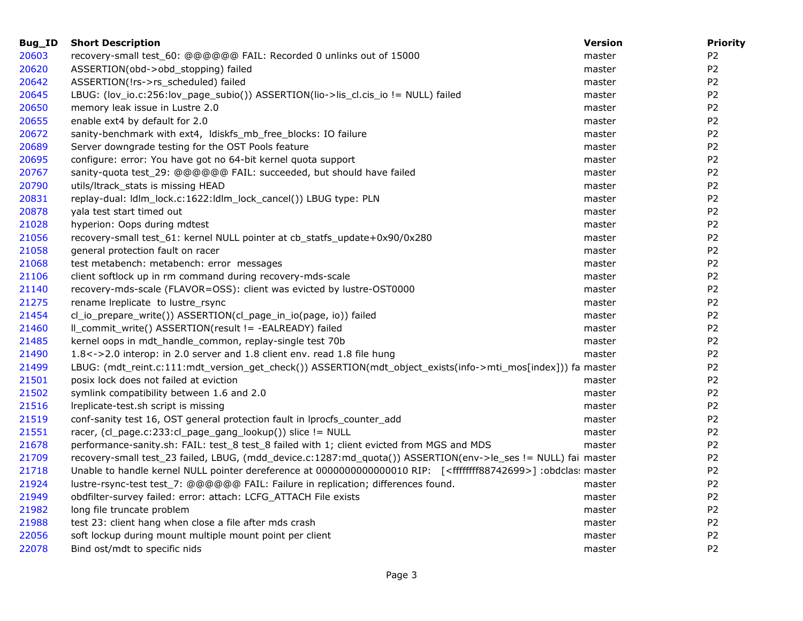| Bug_ID | <b>Short Description</b>                                                                                                            | <b>Version</b> | <b>Priority</b> |
|--------|-------------------------------------------------------------------------------------------------------------------------------------|----------------|-----------------|
| 20603  | recovery-small test_60: @@@@@@ FAIL: Recorded 0 unlinks out of 15000                                                                | master         | P <sub>2</sub>  |
| 20620  | ASSERTION(obd->obd_stopping) failed                                                                                                 | master         | P <sub>2</sub>  |
| 20642  | ASSERTION(!rs->rs_scheduled) failed                                                                                                 | master         | P <sub>2</sub>  |
| 20645  | LBUG: (lov_io.c:256:lov_page_subio()) ASSERTION(lio->lis_cl.cis_io != NULL) failed                                                  | master         | P <sub>2</sub>  |
| 20650  | memory leak issue in Lustre 2.0                                                                                                     | master         | P <sub>2</sub>  |
| 20655  | enable ext4 by default for 2.0                                                                                                      | master         | P <sub>2</sub>  |
| 20672  | sanity-benchmark with ext4, ldiskfs_mb_free_blocks: IO failure                                                                      | master         | P <sub>2</sub>  |
| 20689  | Server downgrade testing for the OST Pools feature                                                                                  | master         | P <sub>2</sub>  |
| 20695  | configure: error: You have got no 64-bit kernel quota support                                                                       | master         | P <sub>2</sub>  |
| 20767  | sanity-quota test_29: @@@@@@ FAIL: succeeded, but should have failed                                                                | master         | P <sub>2</sub>  |
| 20790  | utils/ltrack_stats is missing HEAD                                                                                                  | master         | P <sub>2</sub>  |
| 20831  | replay-dual: ldlm_lock.c:1622:ldlm_lock_cancel()) LBUG type: PLN                                                                    | master         | P <sub>2</sub>  |
| 20878  | yala test start timed out                                                                                                           | master         | P <sub>2</sub>  |
| 21028  | hyperion: Oops during mdtest                                                                                                        | master         | P <sub>2</sub>  |
| 21056  | recovery-small test_61: kernel NULL pointer at cb_statfs_update+0x90/0x280                                                          | master         | P <sub>2</sub>  |
| 21058  | general protection fault on racer                                                                                                   | master         | P <sub>2</sub>  |
| 21068  | test metabench: metabench: error messages                                                                                           | master         | P <sub>2</sub>  |
| 21106  | client softlock up in rm command during recovery-mds-scale                                                                          | master         | P <sub>2</sub>  |
| 21140  | recovery-mds-scale (FLAVOR=OSS): client was evicted by lustre-OST0000                                                               | master         | P <sub>2</sub>  |
| 21275  | rename Ireplicate to lustre_rsync                                                                                                   | master         | P <sub>2</sub>  |
| 21454  | cl_io_prepare_write())                ASSERTION(cl_page_in_io(page, io))    failed                                                  | master         | P <sub>2</sub>  |
| 21460  | II_commit_write() ASSERTION(result != -EALREADY) failed                                                                             | master         | P <sub>2</sub>  |
| 21485  | kernel oops in mdt_handle_common, replay-single test 70b                                                                            | master         | P <sub>2</sub>  |
| 21490  | 1.8 <- > 2.0 interop: in 2.0 server and 1.8 client env. read 1.8 file hung                                                          | master         | P <sub>2</sub>  |
| 21499  | LBUG: (mdt_reint.c:111:mdt_version_get_check()) ASSERTION(mdt_object_exists(info->mti_mos[index])) fa master                        |                | P <sub>2</sub>  |
| 21501  | posix lock does not failed at eviction                                                                                              | master         | P <sub>2</sub>  |
| 21502  | symlink compatibility between 1.6 and 2.0                                                                                           | master         | P <sub>2</sub>  |
| 21516  | Ireplicate-test.sh script is missing                                                                                                | master         | P <sub>2</sub>  |
| 21519  | conf-sanity test 16, OST general protection fault in lprocfs_counter_add                                                            | master         | P <sub>2</sub>  |
| 21551  | racer, (cl_page.c:233:cl_page_gang_lookup()) slice != NULL                                                                          | master         | P <sub>2</sub>  |
| 21678  | performance-sanity.sh: FAIL: test_8 test_8 failed with 1; client evicted from MGS and MDS                                           | master         | P <sub>2</sub>  |
| 21709  | recovery-small test_23 failed, LBUG, (mdd_device.c:1287:md_quota()) ASSERTION(env->le_ses != NULL) fai master                       |                | P <sub>2</sub>  |
| 21718  | Unable to handle kernel NULL pointer dereference at 0000000000000010 RIP: [ <ffffffff88742699>] :obdclas: master</ffffffff88742699> |                | P <sub>2</sub>  |
| 21924  | lustre-rsync-test test_7: @@@@@@ FAIL: Failure in replication; differences found.                                                   | master         | P <sub>2</sub>  |
| 21949  | obdfilter-survey failed: error: attach: LCFG_ATTACH File exists                                                                     | master         | P <sub>2</sub>  |
| 21982  | long file truncate problem                                                                                                          | master         | P <sub>2</sub>  |
| 21988  | test 23: client hang when close a file after mds crash                                                                              | master         | P <sub>2</sub>  |
| 22056  | soft lockup during mount multiple mount point per client                                                                            | master         | P <sub>2</sub>  |
| 22078  | Bind ost/mdt to specific nids                                                                                                       | master         | P <sub>2</sub>  |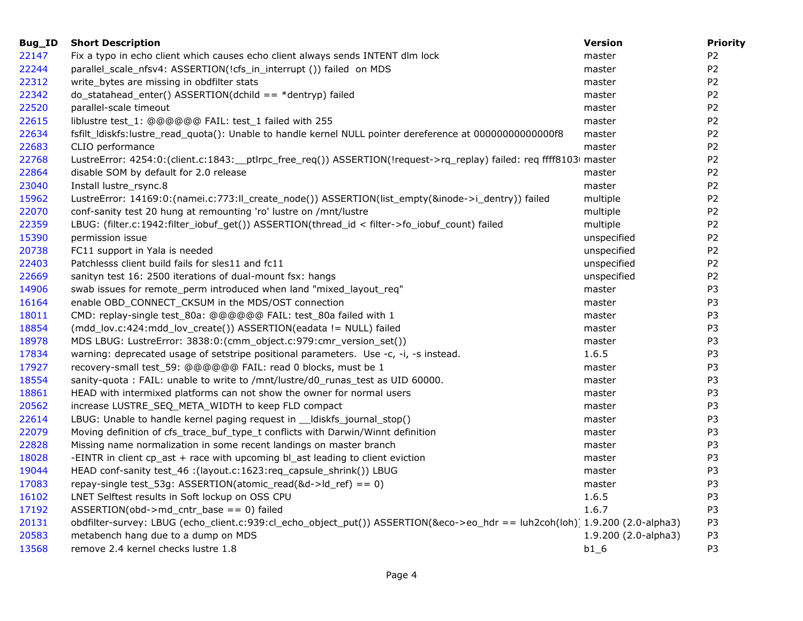| Bug_ID | <b>Short Description</b>                                                                                                    | <b>Version</b>       | <b>Priority</b> |
|--------|-----------------------------------------------------------------------------------------------------------------------------|----------------------|-----------------|
| 22147  | Fix a typo in echo client which causes echo client always sends INTENT dlm lock                                             | master               | P <sub>2</sub>  |
| 22244  | parallel_scale_nfsv4: ASSERTION(!cfs_in_interrupt ()) failed on MDS                                                         | master               | P <sub>2</sub>  |
| 22312  | write_bytes are missing in obdfilter stats                                                                                  | master               | P <sub>2</sub>  |
| 22342  | $do_{statahead_{ent}}( )$ ASSERTION(dchild == *dentryp) failed                                                              | master               | P <sub>2</sub>  |
| 22520  | parallel-scale timeout                                                                                                      | master               | P <sub>2</sub>  |
| 22615  | liblustre test_1: @@@@@@ FAIL: test_1 failed with 255                                                                       | master               | P <sub>2</sub>  |
| 22634  | fsfilt_ldiskfs:lustre_read_quota(): Unable to handle kernel NULL pointer dereference at 0000000000000068                    | master               | P <sub>2</sub>  |
| 22683  | CLIO performance                                                                                                            | master               | P <sub>2</sub>  |
| 22768  | LustreError: 4254:0:(client.c:1843:__ptlrpc_free_req()) ASSERTION(!request->rq_replay) failed: req ffff81030 master         |                      | P <sub>2</sub>  |
| 22864  | disable SOM by default for 2.0 release                                                                                      | master               | P <sub>2</sub>  |
| 23040  | Install lustre_rsync.8                                                                                                      | master               | P <sub>2</sub>  |
| 15962  | LustreError: 14169:0:(namei.c:773:Il_create_node()) ASSERTION(list_empty(&inode->i_dentry)) failed                          | multiple             | P <sub>2</sub>  |
| 22070  | conf-sanity test 20 hung at remounting 'ro' lustre on /mnt/lustre                                                           | multiple             | P <sub>2</sub>  |
| 22359  | LBUG: (filter.c:1942:filter_iobuf_get()) ASSERTION(thread_id < filter->fo_iobuf_count) failed                               | multiple             | P <sub>2</sub>  |
| 15390  | permission issue                                                                                                            | unspecified          | P <sub>2</sub>  |
| 20738  | FC11 support in Yala is needed                                                                                              | unspecified          | P <sub>2</sub>  |
| 22403  | Patchlesss client build fails for sles11 and fc11                                                                           | unspecified          | P <sub>2</sub>  |
| 22669  | sanityn test 16: 2500 iterations of dual-mount fsx: hangs                                                                   | unspecified          | P <sub>2</sub>  |
| 14906  | swab issues for remote_perm introduced when land "mixed_layout_req"                                                         | master               | P <sub>3</sub>  |
| 16164  | enable OBD_CONNECT_CKSUM in the MDS/OST connection                                                                          | master               | P <sub>3</sub>  |
| 18011  | CMD: replay-single test_80a: @@@@@@ FAIL: test_80a failed with 1                                                            | master               | P <sub>3</sub>  |
| 18854  | (mdd_lov.c:424:mdd_lov_create())                ASSERTION(eadata != NULL) failed                                            | master               | P <sub>3</sub>  |
| 18978  | MDS LBUG: LustreError: 3838:0:(cmm_object.c:979:cmr_version_set())                                                          | master               | P <sub>3</sub>  |
| 17834  | warning: deprecated usage of setstripe positional parameters. Use -c, -i, -s instead.                                       | 1.6.5                | P <sub>3</sub>  |
| 17927  | recovery-small test_59: @@@@@@ FAIL: read 0 blocks, must be 1                                                               | master               | P3              |
| 18554  | sanity-quota: FAIL: unable to write to /mnt/lustre/d0_runas_test as UID 60000.                                              | master               | P <sub>3</sub>  |
| 18861  | HEAD with intermixed platforms can not show the owner for normal users                                                      | master               | P <sub>3</sub>  |
| 20562  | increase LUSTRE_SEQ_META_WIDTH to keep FLD compact                                                                          | master               | P <sub>3</sub>  |
| 22614  | LBUG: Unable to handle kernel paging request in ___Idiskfs_journal_stop()                                                   | master               | P <sub>3</sub>  |
| 22079  | Moving definition of cfs_trace_buf_type_t conflicts with Darwin/Winnt definition                                            | master               | P <sub>3</sub>  |
| 22828  | Missing name normalization in some recent landings on master branch                                                         | master               | P <sub>3</sub>  |
| 18028  | -EINTR in client cp_ast + race with upcoming bl_ast leading to client eviction                                              | master               | P <sub>3</sub>  |
| 19044  | HEAD conf-sanity test_46 :(layout.c:1623:req_capsule_shrink()) LBUG                                                         | master               | P <sub>3</sub>  |
| 17083  | repay-single test_53g: ASSERTION(atomic_read(&d->ld_ref) == 0)                                                              | master               | P <sub>3</sub>  |
| 16102  | LNET Selftest results in Soft lockup on OSS CPU                                                                             | 1.6.5                | P3              |
| 17192  | $ASSERTION(obd->md_cntr_base == 0) failed$                                                                                  | 1.6.7                | P <sub>3</sub>  |
| 20131  | obdfilter-survey: LBUG (echo_client.c:939:cl_echo_object_put()) ASSERTION(&eco->eo_hdr == luh2coh(loh) 1.9.200 (2.0-alpha3) |                      | P <sub>3</sub>  |
| 20583  | metabench hang due to a dump on MDS                                                                                         | 1.9.200 (2.0-alpha3) | P <sub>3</sub>  |
| 13568  | remove 2.4 kernel checks lustre 1.8                                                                                         | b16                  | P <sub>3</sub>  |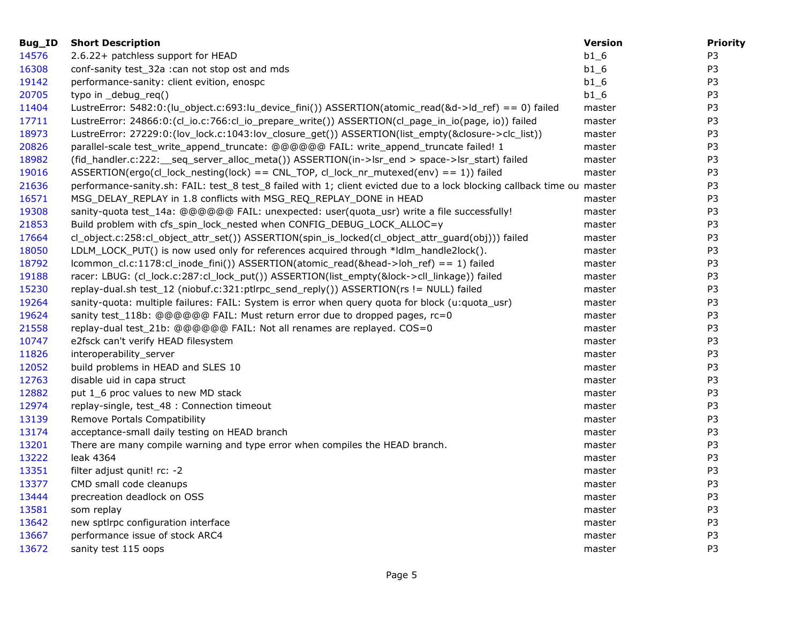| Bug_ID | <b>Short Description</b>                                                                                                | <b>Version</b> | <b>Priority</b> |
|--------|-------------------------------------------------------------------------------------------------------------------------|----------------|-----------------|
| 14576  | 2.6.22+ patchless support for HEAD                                                                                      | $b1_6$         | P <sub>3</sub>  |
| 16308  | conf-sanity test_32a :can not stop ost and mds                                                                          | $b1_6$         | P <sub>3</sub>  |
| 19142  | performance-sanity: client evition, enospc                                                                              | $b1_6$         | P <sub>3</sub>  |
| 20705  | typo in _debug_req()                                                                                                    | $b1_6$         | P <sub>3</sub>  |
| 11404  | LustreError: 5482:0:(lu_object.c:693:lu_device_fini()) ASSERTION(atomic_read(&d->ld_ref) == 0) failed                   | master         | P <sub>3</sub>  |
| 17711  | LustreError: 24866:0:(cl_io.c:766:cl_io_prepare_write()) ASSERTION(cl_page_in_io(page, io)) failed                      | master         | P <sub>3</sub>  |
| 18973  | LustreError: 27229:0:(lov_lock.c:1043:lov_closure_get()) ASSERTION(list_empty(&closure->clc_list))                      | master         | P <sub>3</sub>  |
| 20826  | parallel-scale test_write_append_truncate: @@@@@@ FAIL: write_append_truncate failed! 1                                 | master         | P <sub>3</sub>  |
| 18982  | (fid_handler.c:222:__seq_server_alloc_meta()) ASSERTION(in->lsr_end > space->lsr_start) failed                          | master         | P <sub>3</sub>  |
| 19016  | ASSERTION(ergo(cl_lock_nesting(lock) == CNL_TOP, cl_lock_nr_mutexed(env) == 1)) failed                                  | master         | P3              |
| 21636  | performance-sanity.sh: FAIL: test_8 test_8 failed with 1; client evicted due to a lock blocking callback time ou master |                | P <sub>3</sub>  |
| 16571  | MSG_DELAY_REPLAY in 1.8 conflicts with MSG_REQ_REPLAY_DONE in HEAD                                                      | master         | P <sub>3</sub>  |
| 19308  | sanity-quota test_14a: @@@@@@ FAIL: unexpected: user(quota_usr) write a file successfully!                              | master         | P3              |
| 21853  | Build problem with cfs_spin_lock_nested when CONFIG_DEBUG_LOCK_ALLOC=y                                                  | master         | P <sub>3</sub>  |
| 17664  | cl_object.c:258:cl_object_attr_set()) ASSERTION(spin_is_locked(cl_object_attr_guard(obj))) failed                       | master         | P3              |
| 18050  | LDLM_LOCK_PUT() is now used only for references acquired through *Idlm_handle2lock().                                   | master         | P <sub>3</sub>  |
| 18792  | lcommon_cl.c:1178:cl_inode_fini()) ASSERTION(atomic_read(&head->loh_ref) == 1) failed                                   | master         | P <sub>3</sub>  |
| 19188  | racer: LBUG: (cl_lock.c:287:cl_lock_put()) ASSERTION(list_empty(&lock->cll_linkage)) failed                             | master         | P <sub>3</sub>  |
| 15230  | replay-dual.sh test_12 (niobuf.c:321:ptlrpc_send_reply()) ASSERTION(rs != NULL) failed                                  | master         | P <sub>3</sub>  |
| 19264  | sanity-quota: multiple failures: FAIL: System is error when query quota for block (u:quota_usr)                         | master         | P <sub>3</sub>  |
| 19624  | sanity test_118b: @@@@@@ FAIL: Must return error due to dropped pages, rc=0                                             | master         | P <sub>3</sub>  |
| 21558  | replay-dual test_21b: @@@@@@ FAIL: Not all renames are replayed. COS=0                                                  | master         | P <sub>3</sub>  |
| 10747  | e2fsck can't verify HEAD filesystem                                                                                     | master         | P <sub>3</sub>  |
| 11826  | interoperability_server                                                                                                 | master         | P3              |
| 12052  | build problems in HEAD and SLES 10                                                                                      | master         | P <sub>3</sub>  |
| 12763  | disable uid in capa struct                                                                                              | master         | P3              |
| 12882  | put 1_6 proc values to new MD stack                                                                                     | master         | P <sub>3</sub>  |
| 12974  | replay-single, test_48 : Connection timeout                                                                             | master         | P <sub>3</sub>  |
| 13139  | Remove Portals Compatibility                                                                                            | master         | P3              |
| 13174  | acceptance-small daily testing on HEAD branch                                                                           | master         | P <sub>3</sub>  |
| 13201  | There are many compile warning and type error when compiles the HEAD branch.                                            | master         | P <sub>3</sub>  |
| 13222  | leak 4364                                                                                                               | master         | P <sub>3</sub>  |
| 13351  | filter adjust qunit! rc: -2                                                                                             | master         | P <sub>3</sub>  |
| 13377  | CMD small code cleanups                                                                                                 | master         | P <sub>3</sub>  |
| 13444  | precreation deadlock on OSS                                                                                             | master         | P <sub>3</sub>  |
| 13581  | som replay                                                                                                              | master         | P <sub>3</sub>  |
| 13642  | new sptlrpc configuration interface                                                                                     | master         | P <sub>3</sub>  |
| 13667  | performance issue of stock ARC4                                                                                         | master         | P3              |
| 13672  | sanity test 115 oops                                                                                                    | master         | P <sub>3</sub>  |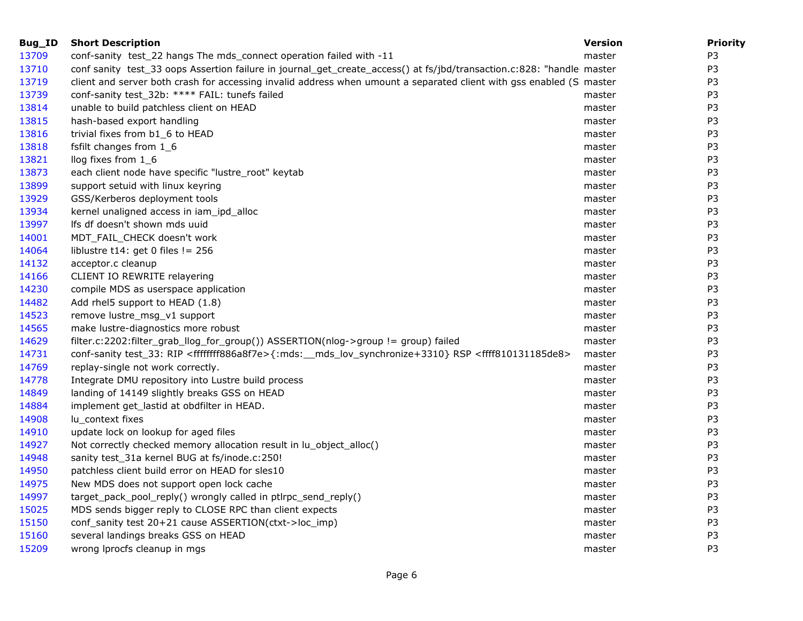| Bug_ID | <b>Short Description</b>                                                                                                                  | <b>Version</b> | <b>Priority</b> |
|--------|-------------------------------------------------------------------------------------------------------------------------------------------|----------------|-----------------|
| 13709  | conf-sanity test_22 hangs The mds_connect operation failed with -11                                                                       | master         | P <sub>3</sub>  |
| 13710  | conf sanity test_33 oops Assertion failure in journal_get_create_access() at fs/jbd/transaction.c:828: "handle master                     |                | P <sub>3</sub>  |
| 13719  | client and server both crash for accessing invalid address when umount a separated client with gss enabled (S master                      |                | P <sub>3</sub>  |
| 13739  | conf-sanity test_32b: **** FAIL: tunefs failed                                                                                            | master         | P <sub>3</sub>  |
| 13814  | unable to build patchless client on HEAD                                                                                                  | master         | P3              |
| 13815  | hash-based export handling                                                                                                                | master         | P <sub>3</sub>  |
| 13816  | trivial fixes from b1_6 to HEAD                                                                                                           | master         | P <sub>3</sub>  |
| 13818  | fsfilt changes from 1_6                                                                                                                   | master         | P <sub>3</sub>  |
| 13821  | llog fixes from 1_6                                                                                                                       | master         | P <sub>3</sub>  |
| 13873  | each client node have specific "lustre_root" keytab                                                                                       | master         | P3              |
| 13899  | support setuid with linux keyring                                                                                                         | master         | P <sub>3</sub>  |
| 13929  | GSS/Kerberos deployment tools                                                                                                             | master         | P <sub>3</sub>  |
| 13934  | kernel unaligned access in iam_ipd_alloc                                                                                                  | master         | P3              |
| 13997  | Ifs df doesn't shown mds uuid                                                                                                             | master         | P <sub>3</sub>  |
| 14001  | MDT_FAIL_CHECK doesn't work                                                                                                               | master         | P <sub>3</sub>  |
| 14064  | liblustre t14: get 0 files != $256$                                                                                                       | master         | P <sub>3</sub>  |
| 14132  | acceptor.c cleanup                                                                                                                        | master         | P <sub>3</sub>  |
| 14166  | CLIENT IO REWRITE relayering                                                                                                              | master         | P <sub>3</sub>  |
| 14230  | compile MDS as userspace application                                                                                                      | master         | P <sub>3</sub>  |
| 14482  | Add rhel5 support to HEAD (1.8)                                                                                                           | master         | P <sub>3</sub>  |
| 14523  | remove lustre_msg_v1 support                                                                                                              | master         | P <sub>3</sub>  |
| 14565  | make lustre-diagnostics more robust                                                                                                       | master         | P3              |
| 14629  | filter.c:2202:filter_grab_llog_for_group()) ASSERTION(nlog->group != group) failed                                                        | master         | P <sub>3</sub>  |
| 14731  | conf-sanity test_33: RIP <ffffffff886a8f7e>{:mds:__mds_lov_synchronize+3310} RSP <ffff810131185de8></ffff810131185de8></ffffffff886a8f7e> | master         | P3              |
| 14769  | replay-single not work correctly.                                                                                                         | master         | P3              |
| 14778  | Integrate DMU repository into Lustre build process                                                                                        | master         | P <sub>3</sub>  |
| 14849  | landing of 14149 slightly breaks GSS on HEAD                                                                                              | master         | P3              |
| 14884  | implement get_lastid at obdfilter in HEAD.                                                                                                | master         | P <sub>3</sub>  |
| 14908  | lu_context fixes                                                                                                                          | master         | P <sub>3</sub>  |
| 14910  | update lock on lookup for aged files                                                                                                      | master         | P <sub>3</sub>  |
| 14927  | Not correctly checked memory allocation result in lu_object_alloc()                                                                       | master         | P3              |
| 14948  | sanity test_31a kernel BUG at fs/inode.c:250!                                                                                             | master         | P <sub>3</sub>  |
| 14950  | patchless client build error on HEAD for sles10                                                                                           | master         | P3              |
| 14975  | New MDS does not support open lock cache                                                                                                  | master         | P <sub>3</sub>  |
| 14997  | target_pack_pool_reply() wrongly called in ptlrpc_send_reply()                                                                            | master         | P <sub>3</sub>  |
| 15025  | MDS sends bigger reply to CLOSE RPC than client expects                                                                                   | master         | P3              |
| 15150  | conf_sanity test 20+21 cause ASSERTION(ctxt->loc_imp)                                                                                     | master         | P <sub>3</sub>  |
| 15160  | several landings breaks GSS on HEAD                                                                                                       | master         | P <sub>3</sub>  |
| 15209  | wrong Iprocfs cleanup in mgs                                                                                                              | master         | P <sub>3</sub>  |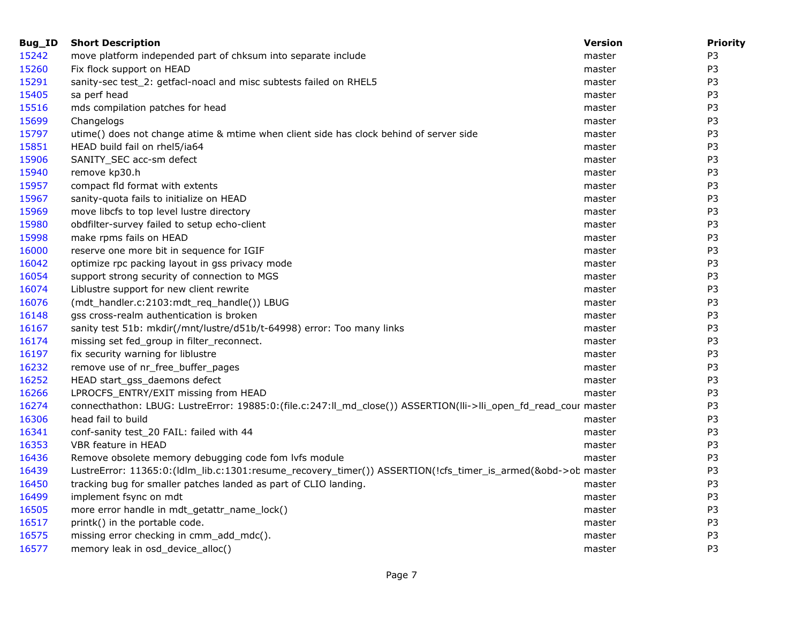| <b>Short Description</b>                                                               | <b>Version</b> | <b>Priority</b>                                                                                                                                                                                                                  |
|----------------------------------------------------------------------------------------|----------------|----------------------------------------------------------------------------------------------------------------------------------------------------------------------------------------------------------------------------------|
| move platform independed part of chksum into separate include                          | master         | P <sub>3</sub>                                                                                                                                                                                                                   |
| Fix flock support on HEAD                                                              | master         | P <sub>3</sub>                                                                                                                                                                                                                   |
| sanity-sec test_2: getfacl-noacl and misc subtests failed on RHEL5                     | master         | P <sub>3</sub>                                                                                                                                                                                                                   |
| sa perf head                                                                           | master         | P <sub>3</sub>                                                                                                                                                                                                                   |
| mds compilation patches for head                                                       | master         | P <sub>3</sub>                                                                                                                                                                                                                   |
| Changelogs                                                                             | master         | P <sub>3</sub>                                                                                                                                                                                                                   |
| utime() does not change atime & mtime when client side has clock behind of server side | master         | P <sub>3</sub>                                                                                                                                                                                                                   |
| HEAD build fail on rhel5/ia64                                                          | master         | P <sub>3</sub>                                                                                                                                                                                                                   |
| SANITY_SEC acc-sm defect                                                               | master         | P <sub>3</sub>                                                                                                                                                                                                                   |
| remove kp30.h                                                                          | master         | P <sub>3</sub>                                                                                                                                                                                                                   |
| compact fld format with extents                                                        | master         | P <sub>3</sub>                                                                                                                                                                                                                   |
| sanity-quota fails to initialize on HEAD                                               | master         | P <sub>3</sub>                                                                                                                                                                                                                   |
| move libcfs to top level lustre directory                                              | master         | P3                                                                                                                                                                                                                               |
| obdfilter-survey failed to setup echo-client                                           | master         | P <sub>3</sub>                                                                                                                                                                                                                   |
| make rpms fails on HEAD                                                                | master         | P <sub>3</sub>                                                                                                                                                                                                                   |
| reserve one more bit in sequence for IGIF                                              | master         | P <sub>3</sub>                                                                                                                                                                                                                   |
| optimize rpc packing layout in gss privacy mode                                        | master         | P <sub>3</sub>                                                                                                                                                                                                                   |
| support strong security of connection to MGS                                           | master         | P <sub>3</sub>                                                                                                                                                                                                                   |
| Liblustre support for new client rewrite                                               | master         | P <sub>3</sub>                                                                                                                                                                                                                   |
| (mdt_handler.c:2103:mdt_req_handle()) LBUG                                             | master         | P <sub>3</sub>                                                                                                                                                                                                                   |
| gss cross-realm authentication is broken                                               | master         | P <sub>3</sub>                                                                                                                                                                                                                   |
| sanity test 51b: mkdir(/mnt/lustre/d51b/t-64998) error: Too many links                 | master         | P <sub>3</sub>                                                                                                                                                                                                                   |
| missing set fed_group in filter_reconnect.                                             | master         | P <sub>3</sub>                                                                                                                                                                                                                   |
| fix security warning for liblustre                                                     | master         | P <sub>3</sub>                                                                                                                                                                                                                   |
| remove use of nr_free_buffer_pages                                                     | master         | P <sub>3</sub>                                                                                                                                                                                                                   |
| HEAD start_gss_daemons defect                                                          | master         | P <sub>3</sub>                                                                                                                                                                                                                   |
| LPROCFS_ENTRY/EXIT missing from HEAD                                                   | master         | P <sub>3</sub>                                                                                                                                                                                                                   |
|                                                                                        |                | P <sub>3</sub>                                                                                                                                                                                                                   |
| head fail to build                                                                     | master         | P <sub>3</sub>                                                                                                                                                                                                                   |
| conf-sanity test_20 FAIL: failed with 44                                               | master         | P <sub>3</sub>                                                                                                                                                                                                                   |
| VBR feature in HEAD                                                                    | master         | P <sub>3</sub>                                                                                                                                                                                                                   |
| Remove obsolete memory debugging code fom lvfs module                                  | master         | P <sub>3</sub>                                                                                                                                                                                                                   |
|                                                                                        |                | P <sub>3</sub>                                                                                                                                                                                                                   |
| tracking bug for smaller patches landed as part of CLIO landing.                       | master         | P <sub>3</sub>                                                                                                                                                                                                                   |
| implement fsync on mdt                                                                 | master         | P <sub>3</sub>                                                                                                                                                                                                                   |
| more error handle in mdt_getattr_name_lock()                                           | master         | P <sub>3</sub>                                                                                                                                                                                                                   |
| printk() in the portable code.                                                         | master         | P <sub>3</sub>                                                                                                                                                                                                                   |
| missing error checking in cmm_add_mdc().                                               | master         | P <sub>3</sub>                                                                                                                                                                                                                   |
| memory leak in osd_device_alloc()                                                      | master         | P <sub>3</sub>                                                                                                                                                                                                                   |
|                                                                                        |                | connecthathon: LBUG: LustreError: 19885:0:(file.c:247:II_md_close()) ASSERTION(IIi->IIi_open_fd_read_cour master<br>LustreError: 11365:0:(ldlm_lib.c:1301:resume_recovery_timer()) ASSERTION(!cfs_timer_is_armed(&obd->ob master |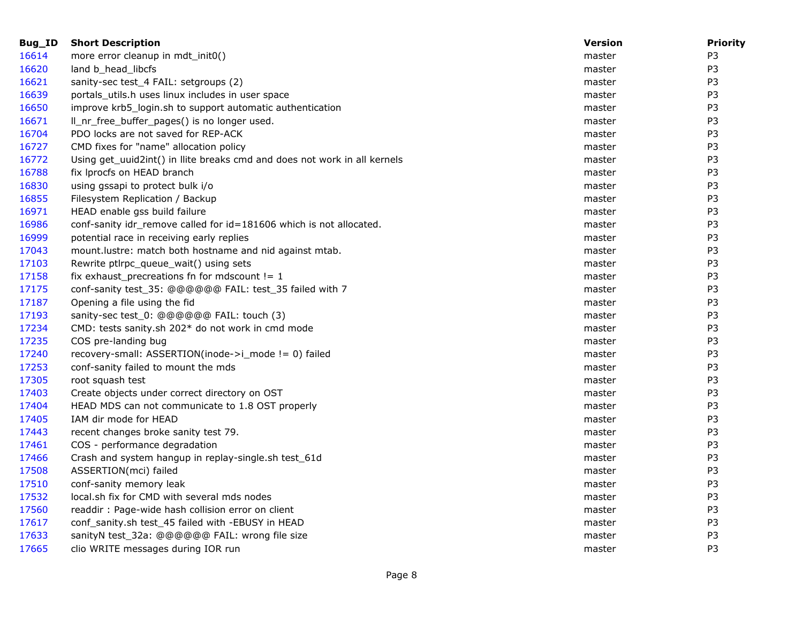| Bug_ID | <b>Short Description</b>                                                  | <b>Version</b> | <b>Priority</b> |
|--------|---------------------------------------------------------------------------|----------------|-----------------|
| 16614  | more error cleanup in mdt_init0()                                         | master         | P <sub>3</sub>  |
| 16620  | land b_head_libcfs                                                        | master         | P <sub>3</sub>  |
| 16621  | sanity-sec test_4 FAIL: setgroups (2)                                     | master         | P <sub>3</sub>  |
| 16639  | portals_utils.h uses linux includes in user space                         | master         | P3              |
| 16650  | improve krb5_login.sh to support automatic authentication                 | master         | P <sub>3</sub>  |
| 16671  | Il_nr_free_buffer_pages() is no longer used.                              | master         | P <sub>3</sub>  |
| 16704  | PDO locks are not saved for REP-ACK                                       | master         | P <sub>3</sub>  |
| 16727  | CMD fixes for "name" allocation policy                                    | master         | P <sub>3</sub>  |
| 16772  | Using get_uuid2int() in llite breaks cmd and does not work in all kernels | master         | P <sub>3</sub>  |
| 16788  | fix Iprocfs on HEAD branch                                                | master         | P3              |
| 16830  | using gssapi to protect bulk i/o                                          | master         | P <sub>3</sub>  |
| 16855  | Filesystem Replication / Backup                                           | master         | P <sub>3</sub>  |
| 16971  | HEAD enable gss build failure                                             | master         | P3              |
| 16986  | conf-sanity idr_remove called for id=181606 which is not allocated.       | master         | P3              |
| 16999  | potential race in receiving early replies                                 | master         | P <sub>3</sub>  |
| 17043  | mount.lustre: match both hostname and nid against mtab.                   | master         | P <sub>3</sub>  |
| 17103  | Rewrite ptlrpc_queue_wait() using sets                                    | master         | P <sub>3</sub>  |
| 17158  | fix exhaust_precreations fn for mdscount != $1$                           | master         | P3              |
| 17175  | conf-sanity test_35: @@@@@@ FAIL: test_35 failed with 7                   | master         | P <sub>3</sub>  |
| 17187  | Opening a file using the fid                                              | master         | P <sub>3</sub>  |
| 17193  | sanity-sec test_0: @@@@@@ FAIL: touch (3)                                 | master         | P <sub>3</sub>  |
| 17234  | CMD: tests sanity.sh 202* do not work in cmd mode                         | master         | P <sub>3</sub>  |
| 17235  | COS pre-landing bug                                                       | master         | P3              |
| 17240  | recovery-small: ASSERTION(inode->i_mode != 0) failed                      | master         | P <sub>3</sub>  |
| 17253  | conf-sanity failed to mount the mds                                       | master         | P <sub>3</sub>  |
| 17305  | root squash test                                                          | master         | P3              |
| 17403  | Create objects under correct directory on OST                             | master         | P3              |
| 17404  | HEAD MDS can not communicate to 1.8 OST properly                          | master         | P <sub>3</sub>  |
| 17405  | IAM dir mode for HEAD                                                     | master         | P <sub>3</sub>  |
| 17443  | recent changes broke sanity test 79.                                      | master         | P <sub>3</sub>  |
| 17461  | COS - performance degradation                                             | master         | P3              |
| 17466  | Crash and system hangup in replay-single.sh test_61d                      | master         | P <sub>3</sub>  |
| 17508  | ASSERTION(mci) failed                                                     | master         | P <sub>3</sub>  |
| 17510  | conf-sanity memory leak                                                   | master         | P <sub>3</sub>  |
| 17532  | local.sh fix for CMD with several mds nodes                               | master         | P3              |
| 17560  | readdir: Page-wide hash collision error on client                         | master         | P <sub>3</sub>  |
| 17617  | conf_sanity.sh test_45 failed with -EBUSY in HEAD                         | master         | P <sub>3</sub>  |
| 17633  | sanityN test_32a: @@@@@@ FAIL: wrong file size                            | master         | P <sub>3</sub>  |
| 17665  | clio WRITE messages during IOR run                                        | master         | P <sub>3</sub>  |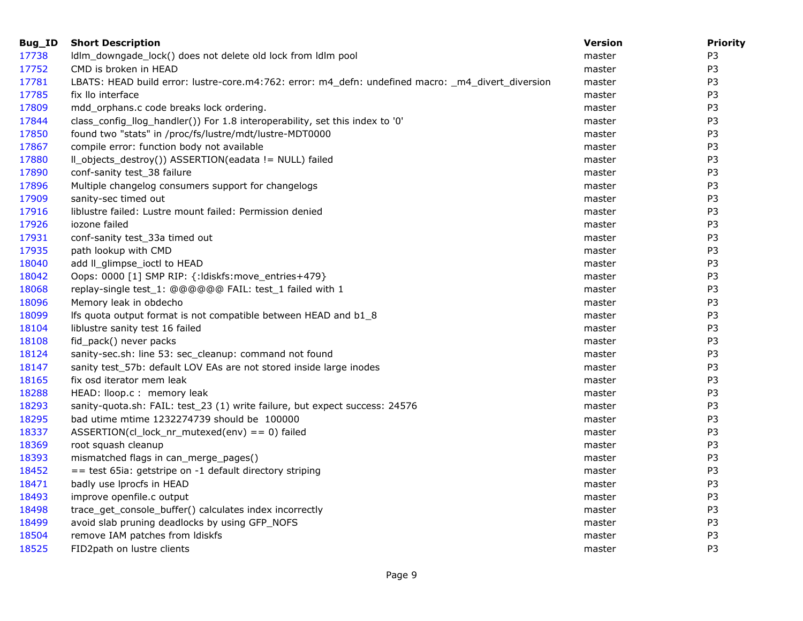| Bug_ID | <b>Short Description</b>                                                                           | <b>Version</b> | <b>Priority</b> |
|--------|----------------------------------------------------------------------------------------------------|----------------|-----------------|
| 17738  | Idlm_downgade_lock() does not delete old lock from Idlm pool                                       | master         | P <sub>3</sub>  |
| 17752  | CMD is broken in HEAD                                                                              | master         | P <sub>3</sub>  |
| 17781  | LBATS: HEAD build error: lustre-core.m4:762: error: m4_defn: undefined macro: _m4_divert_diversion | master         | P3              |
| 17785  | fix llo interface                                                                                  | master         | P <sub>3</sub>  |
| 17809  | mdd_orphans.c code breaks lock ordering.                                                           | master         | P <sub>3</sub>  |
| 17844  | class_config_llog_handler()) For 1.8 interoperability, set this index to '0'                       | master         | P <sub>3</sub>  |
| 17850  | found two "stats" in /proc/fs/lustre/mdt/lustre-MDT0000                                            | master         | P <sub>3</sub>  |
| 17867  | compile error: function body not available                                                         | master         | P <sub>3</sub>  |
| 17880  | Il_objects_destroy()) ASSERTION(eadata != NULL) failed                                             | master         | P <sub>3</sub>  |
| 17890  | conf-sanity test_38 failure                                                                        | master         | P <sub>3</sub>  |
| 17896  | Multiple changelog consumers support for changelogs                                                | master         | P <sub>3</sub>  |
| 17909  | sanity-sec timed out                                                                               | master         | P <sub>3</sub>  |
| 17916  | liblustre failed: Lustre mount failed: Permission denied                                           | master         | P <sub>3</sub>  |
| 17926  | iozone failed                                                                                      | master         | P <sub>3</sub>  |
| 17931  | conf-sanity test_33a timed out                                                                     | master         | P <sub>3</sub>  |
| 17935  | path lookup with CMD                                                                               | master         | P <sub>3</sub>  |
| 18040  | add II_glimpse_ioctl to HEAD                                                                       | master         | P <sub>3</sub>  |
| 18042  | Oops: 0000 [1] SMP RIP: {: ldiskfs: move_entries+479}                                              | master         | P3              |
| 18068  | replay-single test_1: @@@@@@ FAIL: test_1 failed with 1                                            | master         | P <sub>3</sub>  |
| 18096  | Memory leak in obdecho                                                                             | master         | P <sub>3</sub>  |
| 18099  | Ifs quota output format is not compatible between HEAD and b1_8                                    | master         | P <sub>3</sub>  |
| 18104  | liblustre sanity test 16 failed                                                                    | master         | P <sub>3</sub>  |
| 18108  | fid_pack() never packs                                                                             | master         | P <sub>3</sub>  |
| 18124  | sanity-sec.sh: line 53: sec_cleanup: command not found                                             | master         | P <sub>3</sub>  |
| 18147  | sanity test_57b: default LOV EAs are not stored inside large inodes                                | master         | P <sub>3</sub>  |
| 18165  | fix osd iterator mem leak                                                                          | master         | P <sub>3</sub>  |
| 18288  | HEAD: lloop.c : memory leak                                                                        | master         | P <sub>3</sub>  |
| 18293  | sanity-quota.sh: FAIL: test_23 (1) write failure, but expect success: 24576                        | master         | P <sub>3</sub>  |
| 18295  | bad utime mtime 1232274739 should be 100000                                                        | master         | P <sub>3</sub>  |
| 18337  | ASSERTION(cl_lock_nr_mutexed(env) == 0) failed                                                     | master         | P3              |
| 18369  | root squash cleanup                                                                                | master         | P <sub>3</sub>  |
| 18393  | mismatched flags in can_merge_pages()                                                              | master         | P <sub>3</sub>  |
| 18452  | $=$ test 65ia: getstripe on -1 default directory striping                                          | master         | P <sub>3</sub>  |
| 18471  | badly use Iprocfs in HEAD                                                                          | master         | P <sub>3</sub>  |
| 18493  | improve openfile.c output                                                                          | master         | P <sub>3</sub>  |
| 18498  | trace_get_console_buffer() calculates index incorrectly                                            | master         | P <sub>3</sub>  |
| 18499  | avoid slab pruning deadlocks by using GFP_NOFS                                                     | master         | P <sub>3</sub>  |
| 18504  | remove IAM patches from Idiskfs                                                                    | master         | P <sub>3</sub>  |
| 18525  | FID2path on lustre clients                                                                         | master         | P3              |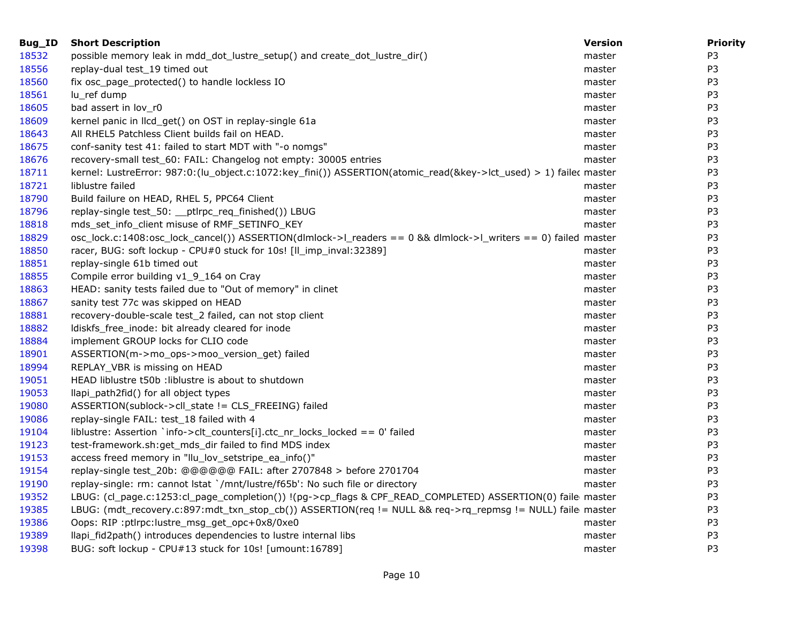| Bug_ID | <b>Short Description</b>                                                                                          | <b>Version</b> | <b>Priority</b> |
|--------|-------------------------------------------------------------------------------------------------------------------|----------------|-----------------|
| 18532  | possible memory leak in mdd_dot_lustre_setup() and create_dot_lustre_dir()                                        | master         | P <sub>3</sub>  |
| 18556  | replay-dual test_19 timed out                                                                                     | master         | P <sub>3</sub>  |
| 18560  | fix osc_page_protected() to handle lockless IO                                                                    | master         | P <sub>3</sub>  |
| 18561  | lu_ref dump                                                                                                       | master         | P <sub>3</sub>  |
| 18605  | bad assert in lov_r0                                                                                              | master         | P <sub>3</sub>  |
| 18609  | kernel panic in llcd_get() on OST in replay-single 61a                                                            | master         | P <sub>3</sub>  |
| 18643  | All RHEL5 Patchless Client builds fail on HEAD.                                                                   | master         | P <sub>3</sub>  |
| 18675  | conf-sanity test 41: failed to start MDT with "-o nomgs"                                                          | master         | P <sub>3</sub>  |
| 18676  | recovery-small test_60: FAIL: Changelog not empty: 30005 entries                                                  | master         | P <sub>3</sub>  |
| 18711  | kernel: LustreError: 987:0:(lu_object.c:1072:key_fini()) ASSERTION(atomic_read(&key->lct_used) > 1) failec master |                | P <sub>3</sub>  |
| 18721  | liblustre failed                                                                                                  | master         | P <sub>3</sub>  |
| 18790  | Build failure on HEAD, RHEL 5, PPC64 Client                                                                       | master         | P3              |
| 18796  | replay-single test_50: __ptlrpc_req_finished()) LBUG                                                              | master         | P <sub>3</sub>  |
| 18818  | mds_set_info_client misuse of RMF_SETINFO_KEY                                                                     | master         | P <sub>3</sub>  |
| 18829  | osc_lock.c:1408:osc_lock_cancel()) ASSERTION(dlmlock->l_readers == 0 && dlmlock->l_writers == 0) failed master    |                | P <sub>3</sub>  |
| 18850  | racer, BUG: soft lockup - CPU#0 stuck for 10s! [II_imp_inval:32389]                                               | master         | P <sub>3</sub>  |
| 18851  | replay-single 61b timed out                                                                                       | master         | P <sub>3</sub>  |
| 18855  | Compile error building v1_9_164 on Cray                                                                           | master         | P <sub>3</sub>  |
| 18863  | HEAD: sanity tests failed due to "Out of memory" in clinet                                                        | master         | P <sub>3</sub>  |
| 18867  | sanity test 77c was skipped on HEAD                                                                               | master         | P <sub>3</sub>  |
| 18881  | recovery-double-scale test_2 failed, can not stop client                                                          | master         | P <sub>3</sub>  |
| 18882  | Idiskfs_free_inode: bit already cleared for inode                                                                 | master         | P <sub>3</sub>  |
| 18884  | implement GROUP locks for CLIO code                                                                               | master         | P3              |
| 18901  | ASSERTION(m->mo_ops->moo_version_get) failed                                                                      | master         | P <sub>3</sub>  |
| 18994  | REPLAY_VBR is missing on HEAD                                                                                     | master         | P <sub>3</sub>  |
| 19051  | HEAD liblustre t50b : liblustre is about to shutdown                                                              | master         | P <sub>3</sub>  |
| 19053  | llapi_path2fid() for all object types                                                                             | master         | P <sub>3</sub>  |
| 19080  | ASSERTION(sublock->cll_state != CLS_FREEING) failed                                                               | master         | P <sub>3</sub>  |
| 19086  | replay-single FAIL: test_18 failed with 4                                                                         | master         | P <sub>3</sub>  |
| 19104  | liblustre: Assertion `info->clt_counters[i].ctc_nr_locks_locked == 0' failed                                      | master         | P <sub>3</sub>  |
| 19123  | test-framework.sh:get_mds_dir failed to find MDS index                                                            | master         | P <sub>3</sub>  |
| 19153  | access freed memory in "Ilu_lov_setstripe_ea_info()"                                                              | master         | P <sub>3</sub>  |
| 19154  | replay-single test_20b: @@@@@@ FAIL: after 2707848 > before 2701704                                               | master         | P <sub>3</sub>  |
| 19190  | replay-single: rm: cannot lstat `/mnt/lustre/f65b': No such file or directory                                     | master         | P3              |
| 19352  | LBUG: (cl_page.c:1253:cl_page_completion()) !(pg->cp_flags & CPF_READ_COMPLETED) ASSERTION(0) faile master        |                | P <sub>3</sub>  |
| 19385  | LBUG: (mdt_recovery.c:897:mdt_txn_stop_cb()) ASSERTION(req != NULL && req->rq_repmsg != NULL) faile master        |                | P <sub>3</sub>  |
| 19386  | Oops: RIP :ptlrpc:lustre_msg_get_opc+0x8/0xe0                                                                     | master         | P <sub>3</sub>  |
| 19389  | llapi_fid2path() introduces dependencies to lustre internal libs                                                  | master         | P3              |
| 19398  | BUG: soft lockup - CPU#13 stuck for 10s! [umount:16789]                                                           | master         | P <sub>3</sub>  |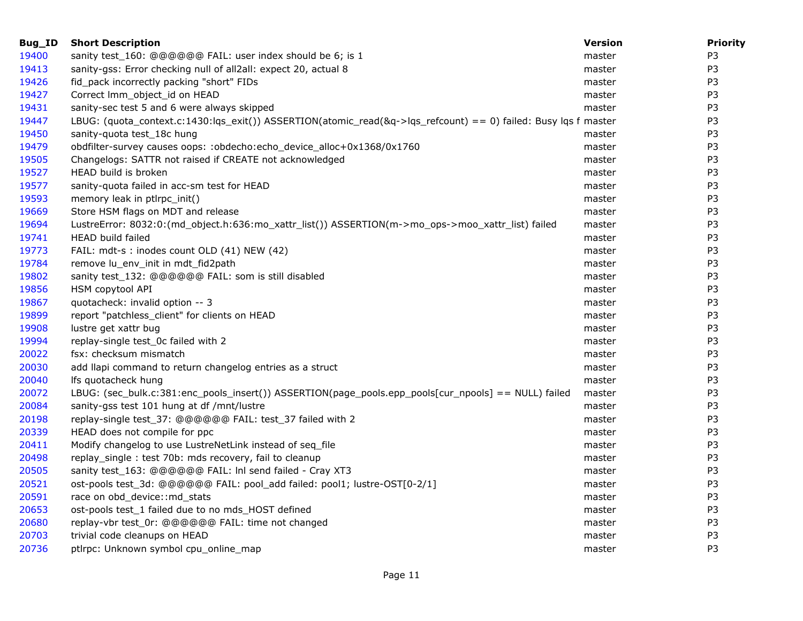| Bug_ID | <b>Short Description</b>                                                                                        | <b>Version</b> | <b>Priority</b> |
|--------|-----------------------------------------------------------------------------------------------------------------|----------------|-----------------|
| 19400  | sanity test_160: @@@@@@ FAIL: user index should be 6; is 1                                                      | master         | P <sub>3</sub>  |
| 19413  | sanity-gss: Error checking null of all2all: expect 20, actual 8                                                 | master         | P3              |
| 19426  | fid_pack incorrectly packing "short" FIDs                                                                       | master         | P3              |
| 19427  | Correct Imm_object_id on HEAD                                                                                   | master         | P <sub>3</sub>  |
| 19431  | sanity-sec test 5 and 6 were always skipped                                                                     | master         | P <sub>3</sub>  |
| 19447  | LBUG: (quota_context.c:1430:lqs_exit()) ASSERTION(atomic_read(&q->lqs_refcount) == 0) failed: Busy lqs f master |                | P <sub>3</sub>  |
| 19450  | sanity-quota test_18c hung                                                                                      | master         | P3              |
| 19479  | obdfilter-survey causes oops: :obdecho:echo_device_alloc+0x1368/0x1760                                          | master         | P <sub>3</sub>  |
| 19505  | Changelogs: SATTR not raised if CREATE not acknowledged                                                         | master         | P <sub>3</sub>  |
| 19527  | HEAD build is broken                                                                                            | master         | P <sub>3</sub>  |
| 19577  | sanity-quota failed in acc-sm test for HEAD                                                                     | master         | P <sub>3</sub>  |
| 19593  | memory leak in ptlrpc_init()                                                                                    | master         | P <sub>3</sub>  |
| 19669  | Store HSM flags on MDT and release                                                                              | master         | P <sub>3</sub>  |
| 19694  | LustreError: 8032:0:(md_object.h:636:mo_xattr_list()) ASSERTION(m->mo_ops->moo_xattr_list) failed               | master         | P3              |
| 19741  | HEAD build failed                                                                                               | master         | P <sub>3</sub>  |
| 19773  | FAIL: mdt-s : inodes count OLD (41) NEW (42)                                                                    | master         | P <sub>3</sub>  |
| 19784  | remove lu_env_init in mdt_fid2path                                                                              | master         | P <sub>3</sub>  |
| 19802  | sanity test_132: @@@@@@ FAIL: som is still disabled                                                             | master         | P <sub>3</sub>  |
| 19856  | HSM copytool API                                                                                                | master         | P <sub>3</sub>  |
| 19867  | quotacheck: invalid option -- 3                                                                                 | master         | P <sub>3</sub>  |
| 19899  | report "patchless_client" for clients on HEAD                                                                   | master         | P <sub>3</sub>  |
| 19908  | lustre get xattr bug                                                                                            | master         | P <sub>3</sub>  |
| 19994  | replay-single test_0c failed with 2                                                                             | master         | P <sub>3</sub>  |
| 20022  | fsx: checksum mismatch                                                                                          | master         | P <sub>3</sub>  |
| 20030  | add llapi command to return changelog entries as a struct                                                       | master         | P3              |
| 20040  | Ifs quotacheck hung                                                                                             | master         | P3              |
| 20072  | LBUG: (sec_bulk.c:381:enc_pools_insert()) ASSERTION(page_pools.epp_pools[cur_npools] == NULL) failed            | master         | P3              |
| 20084  | sanity-gss test 101 hung at df /mnt/lustre                                                                      | master         | P <sub>3</sub>  |
| 20198  | replay-single test_37: @@@@@@ FAIL: test_37 failed with 2                                                       | master         | P <sub>3</sub>  |
| 20339  | HEAD does not compile for ppc                                                                                   | master         | P <sub>3</sub>  |
| 20411  | Modify changelog to use LustreNetLink instead of seq_file                                                       | master         | P <sub>3</sub>  |
| 20498  | replay_single: test 70b: mds recovery, fail to cleanup                                                          | master         | P <sub>3</sub>  |
| 20505  | sanity test_163: @@@@@@ FAIL: InI send failed - Cray XT3                                                        | master         | P3              |
| 20521  | ost-pools test_3d: @@@@@@ FAIL: pool_add failed: pool1; lustre-OST[0-2/1]                                       | master         | P3              |
| 20591  | race on obd_device::md_stats                                                                                    | master         | P <sub>3</sub>  |
| 20653  | ost-pools test_1 failed due to no mds_HOST defined                                                              | master         | P <sub>3</sub>  |
| 20680  | replay-vbr test_0r: @@@@@@ FAIL: time not changed                                                               | master         | P <sub>3</sub>  |
| 20703  | trivial code cleanups on HEAD                                                                                   | master         | P3              |
| 20736  | ptlrpc: Unknown symbol cpu_online_map                                                                           | master         | P <sub>3</sub>  |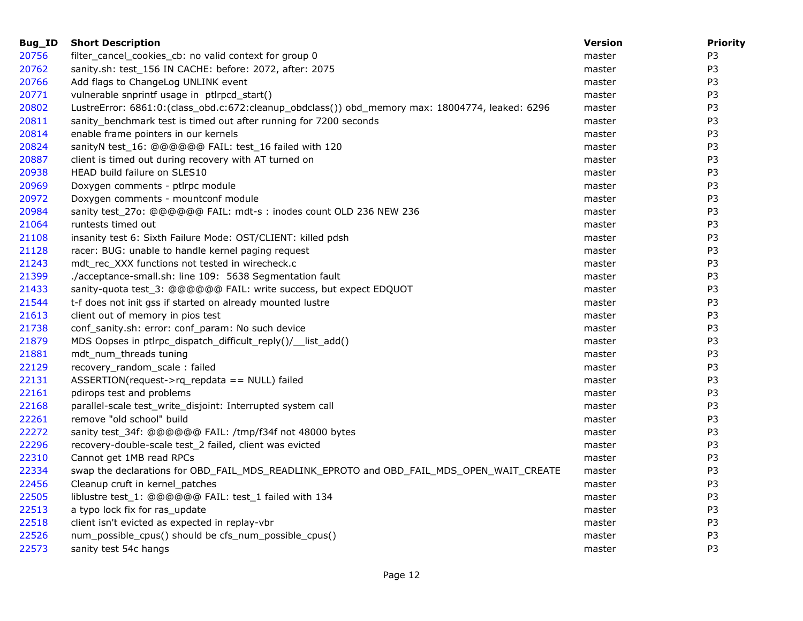| Bug_ID | <b>Short Description</b>                                                                        | <b>Version</b> | <b>Priority</b> |
|--------|-------------------------------------------------------------------------------------------------|----------------|-----------------|
| 20756  | filter_cancel_cookies_cb: no valid context for group 0                                          | master         | P <sub>3</sub>  |
| 20762  | sanity.sh: test_156 IN CACHE: before: 2072, after: 2075                                         | master         | P <sub>3</sub>  |
| 20766  | Add flags to ChangeLog UNLINK event                                                             | master         | P <sub>3</sub>  |
| 20771  | vulnerable snprintf usage in ptlrpcd_start()                                                    | master         | P <sub>3</sub>  |
| 20802  | LustreError: 6861:0:(class_obd.c:672:cleanup_obdclass()) obd_memory max: 18004774, leaked: 6296 | master         | P <sub>3</sub>  |
| 20811  | sanity_benchmark test is timed out after running for 7200 seconds                               | master         | P <sub>3</sub>  |
| 20814  | enable frame pointers in our kernels                                                            | master         | P <sub>3</sub>  |
| 20824  | sanityN test_16: @@@@@@ FAIL: test_16 failed with 120                                           | master         | P3              |
| 20887  | client is timed out during recovery with AT turned on                                           | master         | P <sub>3</sub>  |
| 20938  | HEAD build failure on SLES10                                                                    | master         | P <sub>3</sub>  |
| 20969  | Doxygen comments - ptlrpc module                                                                | master         | P <sub>3</sub>  |
| 20972  | Doxygen comments - mountconf module                                                             | master         | P3              |
| 20984  | sanity test_27o: @@@@@@ FAIL: mdt-s : inodes count OLD 236 NEW 236                              | master         | P <sub>3</sub>  |
| 21064  | runtests timed out                                                                              | master         | P <sub>3</sub>  |
| 21108  | insanity test 6: Sixth Failure Mode: OST/CLIENT: killed pdsh                                    | master         | P <sub>3</sub>  |
| 21128  | racer: BUG: unable to handle kernel paging request                                              | master         | P3              |
| 21243  | mdt_rec_XXX functions not tested in wirecheck.c                                                 | master         | P <sub>3</sub>  |
| 21399  | ./acceptance-small.sh: line 109: 5638 Segmentation fault                                        | master         | P <sub>3</sub>  |
| 21433  | sanity-quota test_3: @@@@@@ FAIL: write success, but expect EDQUOT                              | master         | P <sub>3</sub>  |
| 21544  | t-f does not init gss if started on already mounted lustre                                      | master         | P <sub>3</sub>  |
| 21613  | client out of memory in pios test                                                               | master         | P3              |
| 21738  | conf_sanity.sh: error: conf_param: No such device                                               | master         | P <sub>3</sub>  |
| 21879  | MDS Oopses in ptlrpc_dispatch_difficult_reply()/__list_add()                                    | master         | P3              |
| 21881  | mdt num threads tuning                                                                          | master         | P <sub>3</sub>  |
| 22129  | recovery_random_scale: failed                                                                   | master         | P <sub>3</sub>  |
| 22131  | ASSERTION(request->rq_repdata == NULL) failed                                                   | master         | P <sub>3</sub>  |
| 22161  | pdirops test and problems                                                                       | master         | P3              |
| 22168  | parallel-scale test_write_disjoint: Interrupted system call                                     | master         | P <sub>3</sub>  |
| 22261  | remove "old school" build                                                                       | master         | P <sub>3</sub>  |
| 22272  | sanity test 34f: @@@@@@ FAIL: /tmp/f34f not 48000 bytes                                         | master         | P <sub>3</sub>  |
| 22296  | recovery-double-scale test_2 failed, client was evicted                                         | master         | P3              |
| 22310  | Cannot get 1MB read RPCs                                                                        | master         | P <sub>3</sub>  |
| 22334  | swap the declarations for OBD_FAIL_MDS_READLINK_EPROTO and OBD_FAIL_MDS_OPEN_WAIT_CREATE        | master         | P <sub>3</sub>  |
| 22456  | Cleanup cruft in kernel_patches                                                                 | master         | P <sub>3</sub>  |
| 22505  | liblustre test_1: @@@@@@ FAIL: test_1 failed with 134                                           | master         | P <sub>3</sub>  |
| 22513  | a typo lock fix for ras_update                                                                  | master         | P <sub>3</sub>  |
| 22518  | client isn't evicted as expected in replay-vbr                                                  | master         | P <sub>3</sub>  |
| 22526  | num_possible_cpus() should be cfs_num_possible_cpus()                                           | master         | P <sub>3</sub>  |
| 22573  | sanity test 54c hangs                                                                           | master         | P <sub>3</sub>  |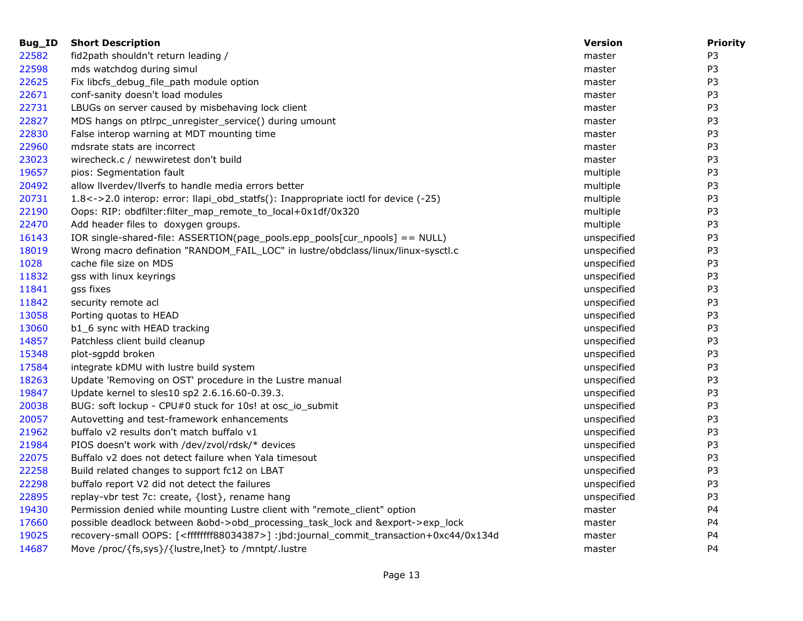| Bug_ID | <b>Short Description</b>                                                                                   | <b>Version</b> | <b>Priority</b> |
|--------|------------------------------------------------------------------------------------------------------------|----------------|-----------------|
| 22582  | fid2path shouldn't return leading /                                                                        | master         | P3              |
| 22598  | mds watchdog during simul                                                                                  | master         | P <sub>3</sub>  |
| 22625  | Fix libcfs_debug_file_path module option                                                                   | master         | P <sub>3</sub>  |
| 22671  | conf-sanity doesn't load modules                                                                           | master         | P3              |
| 22731  | LBUGs on server caused by misbehaving lock client                                                          | master         | P <sub>3</sub>  |
| 22827  | MDS hangs on ptlrpc_unregister_service() during umount                                                     | master         | P <sub>3</sub>  |
| 22830  | False interop warning at MDT mounting time                                                                 | master         | P3              |
| 22960  | mdsrate stats are incorrect                                                                                | master         | P <sub>3</sub>  |
| 23023  | wirecheck.c / newwiretest don't build                                                                      | master         | P3              |
| 19657  | pios: Segmentation fault                                                                                   | multiple       | P <sub>3</sub>  |
| 20492  | allow liverdev/liverfs to handle media errors better                                                       | multiple       | P <sub>3</sub>  |
| 20731  | 1.8<->2.0 interop: error: llapi_obd_statfs(): Inappropriate ioctl for device (-25)                         | multiple       | P3              |
| 22190  | Oops: RIP: obdfilter:filter_map_remote_to_local+0x1df/0x320                                                | multiple       | P <sub>3</sub>  |
| 22470  | Add header files to doxygen groups.                                                                        | multiple       | P <sub>3</sub>  |
| 16143  | IOR single-shared-file: ASSERTION(page_pools.epp_pools[cur_npools] == NULL)                                | unspecified    | P <sub>3</sub>  |
| 18019  | Wrong macro defination "RANDOM_FAIL_LOC" in lustre/obdclass/linux/linux-sysctl.c                           | unspecified    | P <sub>3</sub>  |
| 1028   | cache file size on MDS                                                                                     | unspecified    | P3              |
| 11832  | gss with linux keyrings                                                                                    | unspecified    | P3              |
| 11841  | gss fixes                                                                                                  | unspecified    | P <sub>3</sub>  |
| 11842  | security remote acl                                                                                        | unspecified    | P <sub>3</sub>  |
| 13058  | Porting quotas to HEAD                                                                                     | unspecified    | P <sub>3</sub>  |
| 13060  | b1_6 sync with HEAD tracking                                                                               | unspecified    | P <sub>3</sub>  |
| 14857  | Patchless client build cleanup                                                                             | unspecified    | P3              |
| 15348  | plot-sgpdd broken                                                                                          | unspecified    | P3              |
| 17584  | integrate kDMU with lustre build system                                                                    | unspecified    | P <sub>3</sub>  |
| 18263  | Update 'Removing on OST' procedure in the Lustre manual                                                    | unspecified    | P <sub>3</sub>  |
| 19847  | Update kernel to sles10 sp2 2.6.16.60-0.39.3.                                                              | unspecified    | P <sub>3</sub>  |
| 20038  | BUG: soft lockup - CPU#0 stuck for 10s! at osc_io_submit                                                   | unspecified    | P3              |
| 20057  | Autovetting and test-framework enhancements                                                                | unspecified    | P <sub>3</sub>  |
| 21962  | buffalo v2 results don't match buffalo v1                                                                  | unspecified    | P3              |
| 21984  | PIOS doesn't work with /dev/zvol/rdsk/* devices                                                            | unspecified    | P <sub>3</sub>  |
| 22075  | Buffalo v2 does not detect failure when Yala timesout                                                      | unspecified    | P <sub>3</sub>  |
| 22258  | Build related changes to support fc12 on LBAT                                                              | unspecified    | P <sub>3</sub>  |
| 22298  | buffalo report V2 did not detect the failures                                                              | unspecified    | P <sub>3</sub>  |
| 22895  | replay-vbr test 7c: create, {lost}, rename hang                                                            | unspecified    | P3              |
| 19430  | Permission denied while mounting Lustre client with "remote_client" option                                 | master         | P4              |
| 17660  | possible deadlock between &obd->obd_processing_task_lock and &export->exp_lock                             | master         | P4              |
| 19025  | recovery-small OOPS: [ <ffffffff88034387>] :jbd:journal_commit_transaction+0xc44/0x134d</ffffffff88034387> | master         | P4              |
| 14687  | Move /proc/{fs,sys}/{lustre,lnet} to /mntpt/.lustre                                                        | master         | P4              |